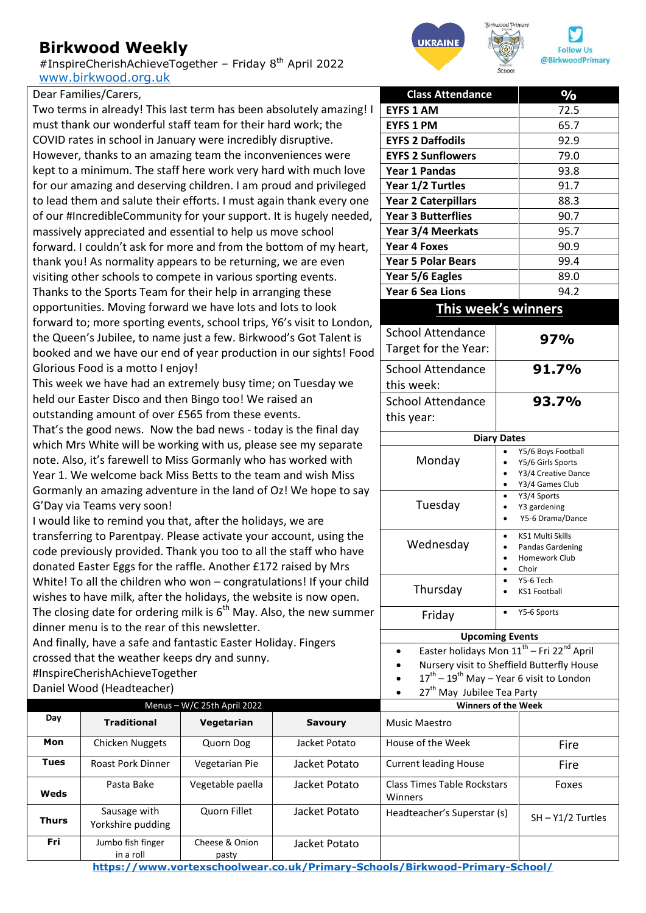## **Birkwood Weekly**

#InspireCherishAchieveTogether – Friday 8th April 2022 [www.birkwood.org.uk](http://www.birkwood.org.uk/)



|  | Dear Families/Carers, |  |
|--|-----------------------|--|
|--|-----------------------|--|

Two terms in already! This last term has been absolutely amazing! I must thank our wonderful staff team for their hard work; the COVID rates in school in January were incredibly disruptive. However, thanks to an amazing team the inconveniences were kept to a minimum. The staff here work very hard with much love for our amazing and deserving children. I am proud and privileged to lead them and salute their efforts. I must again thank every one of our #IncredibleCommunity for your support. It is hugely needed, massively appreciated and essential to help us move school forward. I couldn't ask for more and from the bottom of my heart, thank you! As normality appears to be returning, we are even visiting other schools to compete in various sporting events. Thanks to the Sports Team for their help in arranging these opportunities. Moving forward we have lots and lots to look forward to; more sporting events, school trips, Y6's visit to London, the Queen's Jubilee, to name just a few. Birkwood's Got Talent is booked and we have our end of year production in our sights! Food Glorious Food is a motto I enjoy!

This week we have had an extremely busy time; on Tuesday we held our Easter Disco and then Bingo too! We raised an outstanding amount of over £565 from these events.

That's the good news. Now the bad news - today is the final day which Mrs White will be working with us, please see my separate note. Also, it's farewell to Miss Gormanly who has worked with Year 1. We welcome back Miss Betts to the team and wish Miss Gormanly an amazing adventure in the land of Oz! We hope to say G'Day via Teams very soon!

I would like to remind you that, after the holidays, we are transferring to Parentpay. Please activate your account, using the code previously provided. Thank you too to all the staff who have donated Easter Eggs for the raffle. Another £172 raised by Mrs White! To all the children who won – congratulations! If your child wishes to have milk, after the holidays, the website is now open. The closing date for ordering milk is  $6<sup>th</sup>$  May. Also, the new summer dinner menu is to the rear of this newsletter.

And finally, have a safe and fantastic Easter Holiday. Fingers crossed that the weather keeps dry and sunny. #InspireCherishAchieveTogether

Daniel Wood (Headteacher)

| Daniel WOOU (Headleacher)   |                                   |                         | 27" May Jubilee Tea Party<br>$\bullet$ |                                               |                     |
|-----------------------------|-----------------------------------|-------------------------|----------------------------------------|-----------------------------------------------|---------------------|
| Menus - W/C 25th April 2022 |                                   |                         |                                        | <b>Winners of the Week</b>                    |                     |
| Day                         | <b>Traditional</b>                | Vegetarian              | <b>Savoury</b>                         | Music Maestro                                 |                     |
| Mon                         | Chicken Nuggets                   | Quorn Dog               | Jacket Potato                          | House of the Week                             | Fire                |
| <b>Tues</b>                 | <b>Roast Pork Dinner</b>          | Vegetarian Pie          | Jacket Potato                          | <b>Current leading House</b>                  | Fire                |
| Weds                        | Pasta Bake                        | Vegetable paella        | Jacket Potato                          | <b>Class Times Table Rockstars</b><br>Winners | Foxes               |
| <b>Thurs</b>                | Sausage with<br>Yorkshire pudding | Quorn Fillet            | Jacket Potato                          | Headteacher's Superstar (s)                   | $SH - Y1/2$ Turtles |
| Fri                         | Jumbo fish finger<br>in a roll    | Cheese & Onion<br>pasty | Jacket Potato                          |                                               |                     |

**<https://www.vortexschoolwear.co.uk/Primary-Schools/Birkwood-Primary-School/>**

| <b>Class Attendance</b>                                           |                    | $\overline{\frac{0}{0}}$    |  |  |  |
|-------------------------------------------------------------------|--------------------|-----------------------------|--|--|--|
| <b>EYFS 1 AM</b>                                                  | 72.5               |                             |  |  |  |
| <b>EYFS 1 PM</b>                                                  | 65.7               |                             |  |  |  |
| <b>EYFS 2 Daffodils</b>                                           | 92.9               |                             |  |  |  |
| <b>EYFS 2 Sunflowers</b>                                          | 79.0               |                             |  |  |  |
| <b>Year 1 Pandas</b>                                              |                    | 93.8                        |  |  |  |
| Year 1/2 Turtles                                                  |                    | 91.7                        |  |  |  |
| <b>Year 2 Caterpillars</b>                                        |                    | 88.3                        |  |  |  |
| <b>Year 3 Butterflies</b>                                         |                    | 90.7                        |  |  |  |
| Year 3/4 Meerkats                                                 |                    | 95.7                        |  |  |  |
| Year 4 Foxes                                                      |                    | 90.9                        |  |  |  |
| <b>Year 5 Polar Bears</b>                                         |                    | 99.4                        |  |  |  |
| Year 5/6 Eagles                                                   |                    | 89.0                        |  |  |  |
| Year 6 Sea Lions                                                  |                    | 94.2                        |  |  |  |
|                                                                   |                    |                             |  |  |  |
| This week's winners                                               |                    |                             |  |  |  |
| <b>School Attendance</b>                                          |                    |                             |  |  |  |
| Target for the Year:                                              |                    | 97%                         |  |  |  |
|                                                                   |                    |                             |  |  |  |
| <b>School Attendance</b>                                          |                    | 91.7%                       |  |  |  |
| this week:                                                        |                    |                             |  |  |  |
| <b>School Attendance</b>                                          |                    | 93.7%                       |  |  |  |
| this year:                                                        |                    |                             |  |  |  |
|                                                                   | <b>Diary Dates</b> |                             |  |  |  |
|                                                                   |                    | Y5/6 Boys Football          |  |  |  |
| Monday                                                            | Y5/6 Girls Sports  |                             |  |  |  |
|                                                                   |                    | Y3/4 Creative Dance         |  |  |  |
|                                                                   |                    | Y3/4 Games Club             |  |  |  |
| Tuesday                                                           |                    | Y3/4 Sports<br>Y3 gardening |  |  |  |
|                                                                   |                    | Y5-6 Drama/Dance            |  |  |  |
|                                                                   |                    | <b>KS1 Multi Skills</b>     |  |  |  |
| Wednesday                                                         |                    | Pandas Gardening            |  |  |  |
|                                                                   |                    | Homework Club               |  |  |  |
|                                                                   |                    | Choir<br>Y5-6 Tech          |  |  |  |
| Thursday                                                          |                    | <b>KS1 Football</b>         |  |  |  |
|                                                                   |                    |                             |  |  |  |
| Friday                                                            |                    | Y5-6 Sports                 |  |  |  |
| <b>Upcoming Events</b>                                            |                    |                             |  |  |  |
| Easter holidays Mon 11 <sup>th</sup> - Fri 22 <sup>nd</sup> April |                    |                             |  |  |  |
| Nursery visit to Sheffield Butterfly House                        |                    |                             |  |  |  |
| 17 <sup>th</sup> – 19 <sup>th</sup> May – Year 6 visit to London  |                    |                             |  |  |  |
| 27 <sup>th</sup> May Jubilee Tea Party                            |                    |                             |  |  |  |
| <b>Winners of the Week</b>                                        |                    |                             |  |  |  |
| <b>Music Maestro</b>                                              |                    |                             |  |  |  |
| House of the Week                                                 |                    | Fire                        |  |  |  |
|                                                                   |                    |                             |  |  |  |